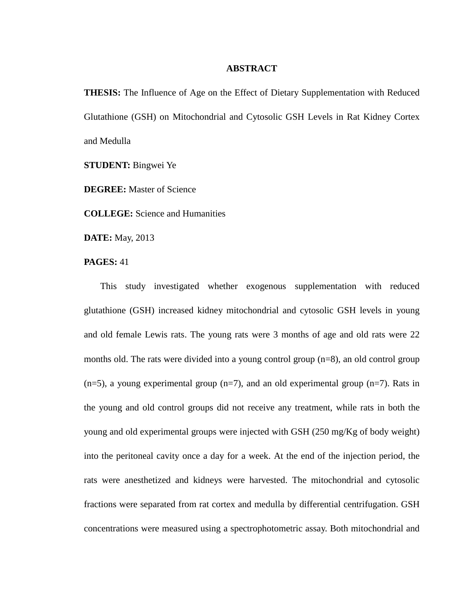## **ABSTRACT**

**THESIS:** The Influence of Age on the Effect of Dietary Supplementation with Reduced Glutathione (GSH) on Mitochondrial and Cytosolic GSH Levels in Rat Kidney Cortex and Medulla

**STUDENT:** Bingwei Ye

**DEGREE:** Master of Science

**COLLEGE:** Science and Humanities

**DATE:** May, 2013

**PAGES:** 41

This study investigated whether exogenous supplementation with reduced glutathione (GSH) increased kidney mitochondrial and cytosolic GSH levels in young and old female Lewis rats. The young rats were 3 months of age and old rats were 22 months old. The rats were divided into a young control group (n=8), an old control group  $(n=5)$ , a young experimental group  $(n=7)$ , and an old experimental group  $(n=7)$ . Rats in the young and old control groups did not receive any treatment, while rats in both the young and old experimental groups were injected with GSH (250 mg/Kg of body weight) into the peritoneal cavity once a day for a week. At the end of the injection period, the rats were anesthetized and kidneys were harvested. The mitochondrial and cytosolic fractions were separated from rat cortex and medulla by differential centrifugation. GSH concentrations were measured using a spectrophotometric assay. Both mitochondrial and